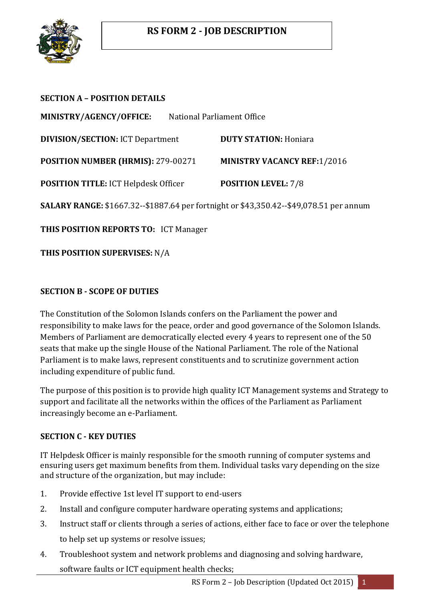

| <b>SECTION A - POSITION DETAILS</b>                                                    |                            |                                    |
|----------------------------------------------------------------------------------------|----------------------------|------------------------------------|
| MINISTRY/AGENCY/OFFICE:                                                                | National Parliament Office |                                    |
| <b>DIVISION/SECTION: ICT Department</b>                                                |                            | <b>DUTY STATION: Honiara</b>       |
| POSITION NUMBER (HRMIS): 279-00271                                                     |                            | <b>MINISTRY VACANCY REF:1/2016</b> |
| <b>POSITION TITLE: ICT Helpdesk Officer</b>                                            |                            | <b>POSITION LEVEL: 7/8</b>         |
| SALARY RANGE: \$1667.32--\$1887.64 per fortnight or \$43,350.42--\$49,078.51 per annum |                            |                                    |
| <b>THIS POSITION REPORTS TO: ICT Manager</b>                                           |                            |                                    |
| <b>THIS POSITION SUPERVISES: N/A</b>                                                   |                            |                                    |

## **SECTION B - SCOPE OF DUTIES**

The Constitution of the Solomon Islands confers on the Parliament the power and responsibility to make laws for the peace, order and good governance of the Solomon Islands. Members of Parliament are democratically elected every 4 years to represent one of the 50 seats that make up the single House of the National Parliament. The role of the National Parliament is to make laws, represent constituents and to scrutinize government action including expenditure of public fund.

The purpose of this position is to provide high quality ICT Management systems and Strategy to support and facilitate all the networks within the offices of the Parliament as Parliament increasingly become an e-Parliament.

### **SECTION C - KEY DUTIES**

IT Helpdesk Officer is mainly responsible for the smooth running of computer systems and ensuring users get maximum benefits from them. Individual tasks vary depending on the size and structure of the organization, but may include:

- 1. Provide effective 1st level IT support to end-users
- 2. Install and configure computer hardware operating systems and applications;
- 3. Instruct staff or clients through a series of actions, either face to face or over the telephone to help set up systems or resolve issues;
- 4. Troubleshoot system and network problems and diagnosing and solving hardware, software faults or ICT equipment health checks;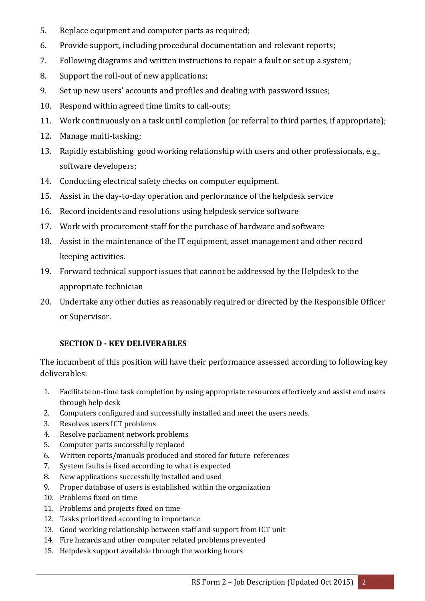- 5. Replace equipment and computer parts as required;
- 6. Provide support, including procedural documentation and relevant reports;
- 7. Following diagrams and written instructions to repair a fault or set up a system;
- 8. Support the roll-out of new applications;
- 9. Set up new users' accounts and profiles and dealing with password issues;
- 10. Respond within agreed time limits to call-outs;
- 11. Work continuously on a task until completion (or referral to third parties, if appropriate);
- 12. Manage multi-tasking;
- 13. Rapidly establishing good working relationship with users and other professionals, e.g., software developers;
- 14. Conducting electrical safety checks on computer equipment.
- 15. Assist in the day-to-day operation and performance of the helpdesk service
- 16. Record incidents and resolutions using helpdesk service software
- 17. Work with procurement staff for the purchase of hardware and software
- 18. Assist in the maintenance of the IT equipment, asset management and other record keeping activities.
- 19. Forward technical support issues that cannot be addressed by the Helpdesk to the appropriate technician
- 20. Undertake any other duties as reasonably required or directed by the Responsible Officer or Supervisor.

## **SECTION D - KEY DELIVERABLES**

The incumbent of this position will have their performance assessed according to following key deliverables:

- 1. Facilitate on-time task completion by using appropriate resources effectively and assist end users through help desk
- 2. Computers configured and successfully installed and meet the users needs.
- 3. Resolves users ICT problems
- 4. Resolve parliament network problems
- 5. Computer parts successfully replaced
- 6. Written reports/manuals produced and stored for future references
- 7. System faults is fixed according to what is expected
- 8. New applications successfully installed and used
- 9. Proper database of users is established within the organization
- 10. Problems fixed on time
- 11. Problems and projects fixed on time
- 12. Tasks prioritized according to importance
- 13. Good working relationship between staff and support from ICT unit
- 14. Fire hazards and other computer related problems prevented
- 15. Helpdesk support available through the working hours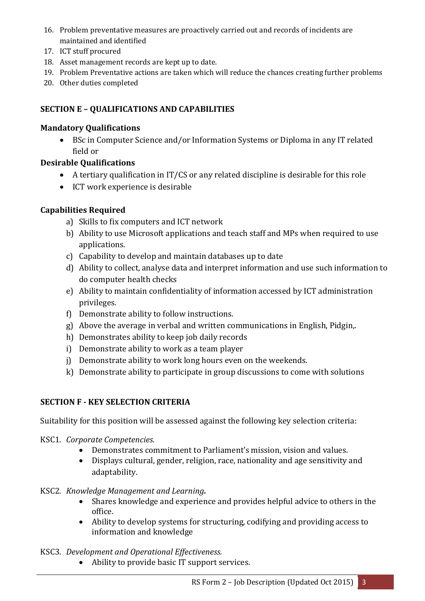- 16. Problem preventative measures are proactively carried out and records of incidents are maintained and identified
- 17. ICT stuff procured
- 18. Asset management records are kept up to date.
- 19. Problem Preventative actions are taken which will reduce the chances creating further problems
- 20. Other duties completed

# **SECTION E – QUALIFICATIONS AND CAPABILITIES**

## **Mandatory Qualifications**

 BSc in Computer Science and/or Information Systems or Diploma in any IT related field or

## **Desirable Qualifications**

- A tertiary qualification in IT/CS or any related discipline is desirable for this role
- ICT work experience is desirable

## **Capabilities Required**

- a) Skills to fix computers and ICT network
- b) Ability to use Microsoft applications and teach staff and MPs when required to use applications.
- c) Capability to develop and maintain databases up to date
- d) Ability to collect, analyse data and interpret information and use such information to do computer health checks
- e) Ability to maintain confidentiality of information accessed by ICT administration privileges.
- f) Demonstrate ability to follow instructions.
- g) Above the average in verbal and written communications in English, Pidgin,.
- h) Demonstrates ability to keep job daily records
- i) Demonstrate ability to work as a team player
- j) Demonstrate ability to work long hours even on the weekends.
- k) Demonstrate ability to participate in group discussions to come with solutions

## **SECTION F - KEY SELECTION CRITERIA**

Suitability for this position will be assessed against the following key selection criteria:

- KSC1. *Corporate Competencies.*
	- Demonstrates commitment to Parliament's mission, vision and values.
	- Displays cultural, gender, religion, race, nationality and age sensitivity and adaptability.

### KSC2. *Knowledge Management and Learning.*

- Shares knowledge and experience and provides helpful advice to others in the office.
- Ability to develop systems for structuring, codifying and providing access to information and knowledge

### KSC3. *Development and Operational Effectiveness.*

Ability to provide basic IT support services.